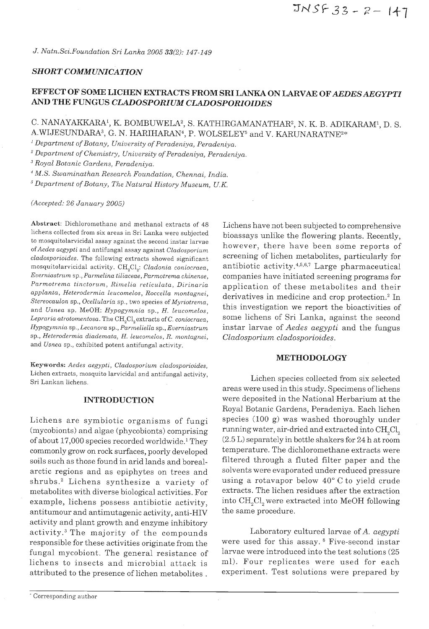## **SHORT COMMUNICATION**

# **EFFECT OF SOME LICHEN EXTRACTS FROM SRI LANKA ON LARVAE OFAEDESAEGYPTI AND THE FUNGUS CLADOSPORIUM CLADOSPORIOIDES**

## C. NANAYAKKARA<sup>1</sup>, K. BOMBUWELA<sup>2</sup>, S. KATHIRGAMANATHAR<sup>2</sup>, N. K. B. ADIKARAM<sup>1</sup>, D. S. A.WIJESUNDARA<sup>3</sup>, G. N. HARIHARAN<sup>4</sup>, P. WOLSELEY<sup>5</sup> and V. KARUNARATNE<sup>2\*</sup>

 $\hat{\mathcal{A}}$ 

*Department of Botany, University of Peradeniya, Peradeniya.* 

*Department of Chemistry, University of Peradeniya, Peradeniya.* 

" *Royal Botanic Gardens, Peradeniya.* 

*M.S. Swaminathan Research Foundation, Chennai, India.* 

<sup>5</sup> Department of Botany, The Natural History Museum, U.K.

*(Accepted: 26 January 2005)* 

**Abstract:** *Dichloromethane and methanol extracts of 48 lichens collected from six areas in Sri Lanka were subjected to mosquitolarvicidal assay against the second instar larvae ofAedes aegypti and antifungal assay against Cladosporium cladosporioides. The following extracts showed significant mosquitolarvicidal activity. CH,Cl,: Cladonia coniocraea, Everniastrum sp., Parmelina tiliaceae, Parmotrema chinense,*  Parmotrema tinctorum, Rimelia reticulata, Dirinaria *applanta, Heterodermia leucomelos, Roccella montagnei, Stereocaulon sp., Ocellularia sp., two species of Myriotrema, and Usnea sp. MeOH: Hypogymnia sp., H. leucomelos, Lepraria atrotomentosa. The CH,Cl,extracts of* C. *coniocraea, Hypogymnia sp., Lecanora sp., Parmeliella sp., Everniastrum sp., Heterodermia diademata, H. leucomelos, R. montagnei, and Usnea sp., exhibited potent antifungal activity.* 

*Keywords: Aedes aegypti, Cladosporium cladosporioides, Lichen extracts, mosqulto larvicidal and antifungal activity, Sri Lankan lichens.* Lichen species collected from six selected

## **INTRODUCTION**

Lichens are symbiotic organisms of fungi (mycobionts) and algae (phycobionts) comprising of about  $17,000$  species recorded worldwide.<sup>1</sup> They commonly grow on rock surfaces, poorly developed soils such as those found in arid lands and borealarctic regions and as epiphytes on trees and shrubs.<sup>2</sup> Lichens synthesize a variety of metabolites with diverse biological activities. For example, lichens possess antibiotic activity, antitumour and antimutagenic activity, anti-HIV activity and plant growth and enzyme inhibitory activity.<sup>3</sup> The majority of the compounds Laboratory cultured larvae of A. *aegypti* responsible for these activities originate from the were used for this assay. <sup>8</sup> Five-second instar fungal mycobiont. The general resistance of larvae were introduced into the test solutions  $(25$ lichens to insects and microbial attack is ml). Four replicates were used for each attributed to the presence of lichen metabolites . experiment. Test solutions were prepared by

Lichens have not been subjected to comprehensive bioassays unlike the flowering plants. Recently, however, there have been some reports of screening of lichen metabolites, particularly for antibiotic activity. $4,5,6,7$  Large pharmaceutical companies have initiated screening programs for application of these metabolites and their derivatives in medicine and crop protection.<sup>2</sup> In this investigation we report the bioactivities of some lichens of Sri Lanka, against the second instar larvae of *Aedes aegypti* and the fungus *Cladosporium cladosporioides.* 

#### **METHODOLOGY**

areas were used in this study. Specimens of lichens were deposited in the National Herbarium at the Royal Botanic Gardens, Peradeniya. Each lichen species (100 g) was washed thoroughly under running water, air-dried and extracted into CH,Cl, (2.5 L) separately in bottle shakers for 24 h at room temperature. The dichloromethane extracts were filtered through a fluted filter paper and the solvents were evaporated under reduced pressure using a rotavapor below 40" C to yield crude extracts. The lichen residues after the extraction into CH<sub>2</sub>Cl<sub>2</sub> were extracted into MeOH following the same procedure.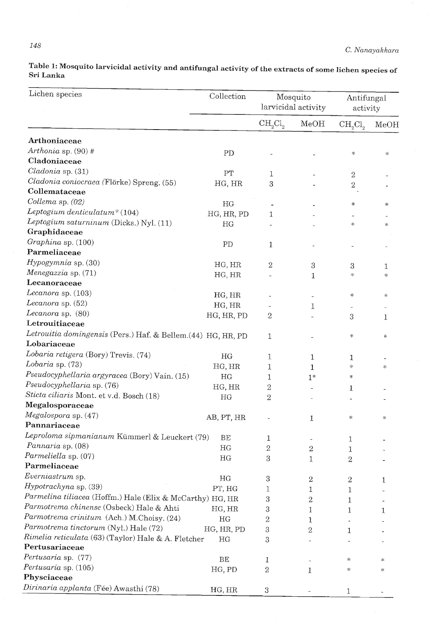**Table 1: Mosquito larvicidal activity and antifungal activity of the extracts of some lichen species of Sri Lanka** 

| Lichen species                                                              | Collection | Mosquito<br>larvicidal activity |                  | Antifungal<br>activity          |        |
|-----------------------------------------------------------------------------|------------|---------------------------------|------------------|---------------------------------|--------|
|                                                                             |            | $CH_2Cl_2$                      | MeOH             | CH <sub>2</sub> Cl <sub>2</sub> | MeOH   |
| Arthoniaceae                                                                |            |                                 |                  |                                 |        |
| Arthonia sp. (90) #                                                         | PD         |                                 |                  | $\ast$                          | *      |
| Cladoniaceae                                                                |            |                                 |                  |                                 |        |
| Cladonia sp. (31)                                                           | PT         | 1                               |                  | $\sqrt{2}$                      |        |
| Cladonia coniocraea (Flörke) Spreng. (55)                                   | HG, HR     | 3                               |                  | $\,2$                           |        |
| Collemataceae                                                               |            |                                 |                  |                                 |        |
| Collema sp. (02)                                                            | HG         |                                 |                  | *                               | *      |
| Leptogium denticulatum* $(104)$                                             | HG, HR, PD | 1                               |                  |                                 |        |
| Leptogium saturninum (Dicks.) Nyl. (11)                                     | HG         |                                 |                  | *                               | $\ast$ |
| Graphidaceae                                                                |            |                                 |                  |                                 |        |
| Graphina sp. (100)                                                          | PD         | 1                               |                  |                                 |        |
| Parmeliaceae                                                                |            |                                 |                  |                                 |        |
| Hypogymnia sp. (30)                                                         | HG, HR     | $\,2$                           |                  |                                 |        |
| Menegazzia sp. (71)                                                         |            |                                 | $\boldsymbol{3}$ | 3<br>$\ast$                     | 1      |
| Lecanoraceae                                                                | HG, HR     |                                 | 1                |                                 | *      |
| Lecanora sp. (103)                                                          |            |                                 |                  |                                 |        |
| Lecanora sp. (52)                                                           | HG, HR     |                                 |                  | *                               | *      |
| Lecanora sp. (80)                                                           | HG, HR     |                                 | 1                |                                 |        |
| Letrouitiaceae                                                              | HG, HR, PD | 2                               |                  | 3                               | 1      |
|                                                                             |            |                                 |                  |                                 |        |
| Letrouitia domingensis (Pers.) Haf. & Bellem.(44) HG, HR, PD<br>Lobariaceae |            | 1                               |                  | ∗                               | $\ast$ |
|                                                                             |            |                                 |                  |                                 |        |
| Lobaria retigera (Bory) Trevis. (74)                                        | HG         | 1                               | $\mathbf 1$      | 1                               |        |
| Lobaria sp. (73)                                                            | HG, HR     | 1                               | $\mathbf{1}$     | *                               | *      |
| Pseudocyphellaria argyracea (Bory) Vain. (15)                               | HG         | 1                               | $1*$             | $\ast$                          |        |
| Pseudocyphellaria sp. (76)                                                  | HG, HR     | 2                               |                  | 1                               |        |
| Sticta ciliaris Mont. et v.d. Bosch (18)                                    | HG         | 2                               |                  |                                 |        |
| Megalosporaceae                                                             |            |                                 |                  |                                 |        |
| Megalospora sp. (47)                                                        | AB, PT, HR |                                 | 1                | ∗                               | *      |
| Pannariaceae                                                                |            |                                 |                  |                                 |        |
| Leproloma sipmanianum Kümmerl & Leuckert (79)                               | BE         | 1                               |                  | 1                               |        |
| Pannaria sp. (08)                                                           | HG         | $\overline{2}$                  | $\,2$            | 1                               |        |
| Parmeliella sp. (07)                                                        | HG         | 3                               | 1                | $\boldsymbol{2}$                |        |
| Parmeliaceae                                                                |            |                                 |                  |                                 |        |
| Everniastrum sp.                                                            | HG         | 3                               | $\sqrt{2}$       | $\,2$                           | 1      |
| Hypotrachyna sp. (39)                                                       | PT, HG     | 1                               | 1                | 1                               |        |
| Parmelina tiliacea (Hoffm.) Hale (Elix & McCarthy) HG, HR                   |            | 3                               | $\overline{2}$   | 1                               |        |
| Parmotrema chinense (Osbeck) Hale & Ahti                                    | HG, HR     | 3                               | 1                | 1                               | 1      |
| Parmotrema crinitum (Ach.) M.Choisy. (24)                                   | HG         | 2                               | 1                |                                 |        |
| Parmotrema tinctorum (Nyl.) Hale (72)                                       | HG, HR, PD | 3                               | 2                | 1                               |        |
| Rimelia reticulata (63) (Taylor) Hale & A. Fletcher                         | HG         | 3                               |                  |                                 |        |
| Pertusariaceae                                                              |            |                                 |                  |                                 |        |
| Pertusaria sp. (77)                                                         | BE         | 1                               |                  | ∗                               | ∗      |
| Pertusaria sp. (105)                                                        | HG, PD     | $\boldsymbol{2}$                | 1                | $\approx$                       | *      |
| Physciaceae                                                                 |            |                                 |                  |                                 |        |
| Dirinaria applanta (Fée) Awasthi (78)                                       | HG, HR     | 3                               |                  |                                 |        |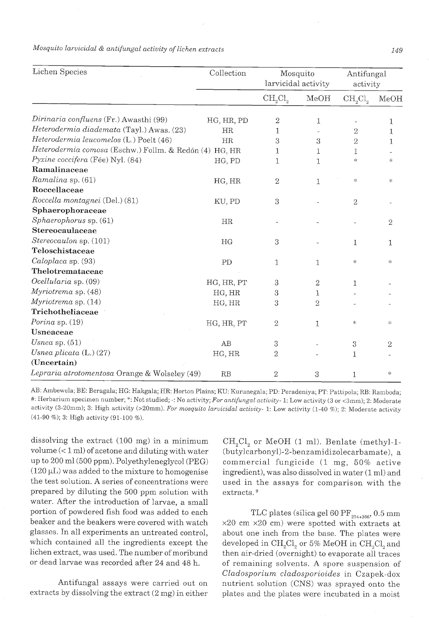| Lichen Species                                         | Collection | Mosquito<br>larvicidal activity |              | Antifungal<br>activity          |                |
|--------------------------------------------------------|------------|---------------------------------|--------------|---------------------------------|----------------|
|                                                        |            | CH <sub>2</sub> Cl <sub>2</sub> | MeOH         | CH <sub>2</sub> Cl <sub>2</sub> | MeOH           |
| Dirinaria confluens (Fr.) Awasthi (99)                 | HG, HR, PD | 2                               | 1            |                                 | 1              |
| Heterodermia diademata (Tayl.) Awas. (23)              | HR         | 1                               |              | $\mathbf{2}$                    | 1              |
| Heterodermia leucomelos (L.) Poelt (46)                | HR         | 3                               | 3            | 2                               | 1              |
| Heterodermia comosa (Eschw.) Follm. & Redón (4) HG, HR |            | 1                               | 1            | 1                               |                |
| Pyxine coccifera (Fée) Nyl. (84)                       | HG, PD     | 1                               | 1            | $\frac{1}{2}$                   | *              |
| Ramalinaceae                                           |            |                                 |              |                                 |                |
| Ramalina sp. (61)                                      | HG, HR     | $\overline{2}$                  | 1            | $\lesssim$                      | ή.             |
| Roccellaceae                                           |            |                                 |              |                                 |                |
| Roccella montagnei (Del.) (81)                         | KU, PD     | 3                               |              | $\sqrt{2}$                      |                |
| Sphaerophoraceae                                       |            |                                 |              |                                 |                |
| $Sphaerophorus$ sp. $(61)$                             | HR         |                                 |              |                                 | 2              |
| Stereocaulaceae                                        |            |                                 |              |                                 |                |
| Stereocaulon sp. (101)                                 | HG         | 3                               |              | 1                               | 1              |
| Teloschistaceae                                        |            |                                 |              |                                 |                |
| Caloplaca sp. (93)                                     | PD         | 1                               | $\mathbf{1}$ | ∗                               | *              |
| Thelotremataceae                                       |            |                                 |              |                                 |                |
| Ocellularia sp. (09)                                   | HG, HR, PT | 3                               | $\sqrt{2}$   | 1                               |                |
| Myriotrema sp. (48)                                    | HG, HR     | 3                               | 1            |                                 |                |
| Myriotrema sp. (14)                                    | HG, HR     | 3                               | 2            |                                 |                |
| Trichotheliaceae                                       |            |                                 |              |                                 |                |
| Porina sp. (19)                                        | HG, HR, PT | 2                               | 1            | $\ast$                          | *              |
| Usneaceae                                              |            |                                 |              |                                 |                |
| Usnea sp. $(51)$                                       | AB         | $\rm 3$                         |              | 3                               | $\overline{2}$ |
| Usnea plicata $(L.)(27)$                               | HG, HR     | 2                               |              | 1                               |                |
| (Uncertain)                                            |            |                                 |              |                                 |                |
| Lepraria atrotomentosa Orange & Wolseley (49)          | RB         | $\mathbf{2}$                    | 3            | 1                               | $\ast$         |

*Mosquito Larvicidal* & *antifungal activity of Lichen extracts 149* 

AB: Ambewela; BE: Beragala; HG: Hakgala; HR: Horton Plains; KU: Kurunegala; PD: Peradeniya; PT: Pattipola; RB: Ramboda; #: Herbarium specimen number; ": Not studied; -: No activity; *For antifungal* activity- *1:* Low activity (3 or <3mm); 2: Moderate activity (3-20mm); 3: High activity (>20mm). *For mosquito larvicidal activity- 1:* Low activity (1-40 %); 2: Moderate activity (41-90 %); **3:** High activity (91-100 %).

dissolving the extract (100 mg) in a minimum volume  $(< 1$  ml) of acetone and diluting with water up to 200 ml(500 ppm). Polyethyleneglycol (PEG)  $(120 \,\mu L)$  was added to the mixture to homogenise the test solution. A series of concentrations were prepared by diluting the 500 ppm solution with water. After the introduction of larvae, a small portion of powdered fish food was added to each beaker and the beakers were covered with watch glasses. In all experiments an untreated control, which contained all the ingredients except the lichen extract, was used. The number of moribund or dead larvae was recorded after 24 and 48 h.

Antifungal assays were carried out on extracts by dissolving the extract (2 mg) in either

 $CH<sub>2</sub>Cl<sub>2</sub>$  or MeOH (1 ml). Benlate (methyl-1-(butylcarbony1)-2-benzamidizolecarbamate), a commercial fungicide (1 mg, 50% active ingredient), was also dissolved in water (1 ml) and used in the assays for comparison with the extracts.<sup>9</sup>

TLC plates (silica gel $60\;\mathrm{PF}_{_{254+366}},$   $0.5\;\mathrm{mm}$ x20 cm x20 cm) were spotted with extracts at about one inch from the base. The plates were developed in  $\text{CH}_2\text{Cl}_2$  or 5% MeOH in  $\text{CH}_2\text{Cl}_2$  and then air-dried (overnight) to evaporate all traces of remaining solvents. A spore suspension of *Cladosporium cladosporioides* in Czapek-dox nutrient solution (CNS) was sprayed onto the plates and the plates were incubated in a moist